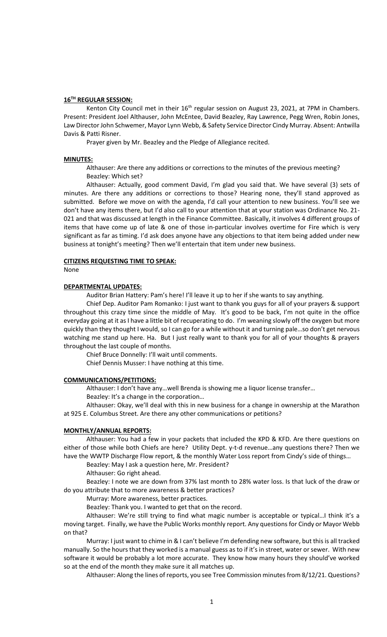### **16TH REGULAR SESSION:**

Kenton City Council met in their  $16<sup>th</sup>$  regular session on August 23, 2021, at 7PM in Chambers. Present: President Joel Althauser, John McEntee, David Beazley, Ray Lawrence, Pegg Wren, Robin Jones, Law Director John Schwemer, Mayor Lynn Webb, & Safety Service Director Cindy Murray. Absent: Antwilla Davis & Patti Risner.

Prayer given by Mr. Beazley and the Pledge of Allegiance recited.

## **MINUTES:**

Althauser: Are there any additions or corrections to the minutes of the previous meeting? Beazley: Which set?

Althauser: Actually, good comment David, I'm glad you said that. We have several (3) sets of minutes. Are there any additions or corrections to those? Hearing none, they'll stand approved as submitted. Before we move on with the agenda, I'd call your attention to new business. You'll see we don't have any items there, but I'd also call to your attention that at your station was Ordinance No. 21- 021 and that was discussed at length in the Finance Committee. Basically, it involves 4 different groups of items that have come up of late & one of those in-particular involves overtime for Fire which is very significant as far as timing. I'd ask does anyone have any objections to that item being added under new business at tonight's meeting? Then we'll entertain that item under new business.

### **CITIZENS REQUESTING TIME TO SPEAK:**

None

#### **DEPARTMENTAL UPDATES:**

Auditor Brian Hattery: Pam's here! I'll leave it up to her if she wants to say anything.

Chief Dep. Auditor Pam Romanko: I just want to thank you guys for all of your prayers & support throughout this crazy time since the middle of May. It's good to be back, I'm not quite in the office everyday going at it as I have a little bit of recuperating to do. I'm weaning slowly off the oxygen but more quickly than they thought I would, so I can go for a while without it and turning pale…so don't get nervous watching me stand up here. Ha. But I just really want to thank you for all of your thoughts & prayers throughout the last couple of months.

Chief Bruce Donnelly: I'll wait until comments.

Chief Dennis Musser: I have nothing at this time.

#### **COMMUNICATIONS/PETITIONS:**

Althauser: I don't have any…well Brenda is showing me a liquor license transfer…

Beazley: It's a change in the corporation…

Althauser: Okay, we'll deal with this in new business for a change in ownership at the Marathon at 925 E. Columbus Street. Are there any other communications or petitions?

## **MONTHLY/ANNUAL REPORTS:**

Althauser: You had a few in your packets that included the KPD & KFD. Are there questions on either of those while both Chiefs are here? Utility Dept. y-t-d revenue…any questions there? Then we have the WWTP Discharge Flow report, & the monthly Water Loss report from Cindy's side of things...

Beazley: May I ask a question here, Mr. President?

Althauser: Go right ahead.

Beazley: I note we are down from 37% last month to 28% water loss. Is that luck of the draw or do you attribute that to more awareness & better practices?

Murray: More awareness, better practices.

Beazley: Thank you. I wanted to get that on the record.

Althauser: We're still trying to find what magic number is acceptable or typical…I think it's a moving target. Finally, we have the Public Works monthly report. Any questions for Cindy or Mayor Webb on that?

Murray: I just want to chime in & I can't believe I'm defending new software, but this is all tracked manually. So the hours that they worked is a manual guess as to if it's in street, water or sewer. With new software it would be probably a lot more accurate. They know how many hours they should've worked so at the end of the month they make sure it all matches up.

Althauser: Along the lines of reports, you see Tree Commission minutes from 8/12/21. Questions?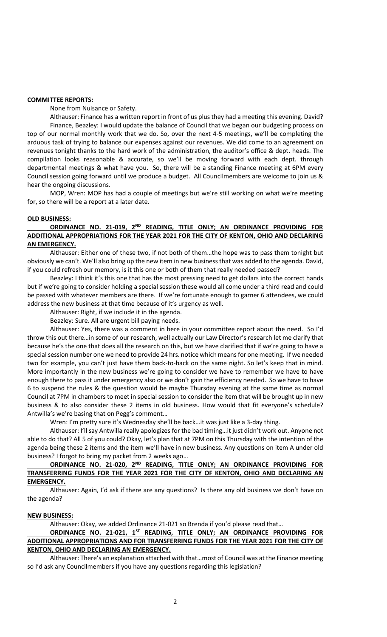### **COMMITTEE REPORTS:**

None from Nuisance or Safety.

Althauser: Finance has a written report in front of us plus they had a meeting this evening. David? Finance, Beazley: I would update the balance of Council that we began our budgeting process on top of our normal monthly work that we do. So, over the next 4-5 meetings, we'll be completing the arduous task of trying to balance our expenses against our revenues. We did come to an agreement on revenues tonight thanks to the hard work of the administration, the auditor's office & dept. heads. The compilation looks reasonable & accurate, so we'll be moving forward with each dept. through departmental meetings & what have you. So, there will be a standing Finance meeting at 6PM every Council session going forward until we produce a budget. All Councilmembers are welcome to join us & hear the ongoing discussions.

MOP, Wren: MOP has had a couple of meetings but we're still working on what we're meeting for, so there will be a report at a later date.

## **OLD BUSINESS:**

## **ORDINANCE NO. 21-019, 2ND READING, TITLE ONLY; AN ORDINANCE PROVIDING FOR ADDITIONAL APPROPRIATIONS FOR THE YEAR 2021 FOR THE CITY OF KENTON, OHIO AND DECLARING AN EMERGENCY.**

Althauser: Either one of these two, if not both of them…the hope was to pass them tonight but obviously we can't. We'll also bring up the new item in new businessthat was added to the agenda. David, if you could refresh our memory, is it this one or both of them that really needed passed?

Beazley: I think it's this one that has the most pressing need to get dollars into the correct hands but if we're going to consider holding a special session these would all come under a third read and could be passed with whatever members are there. If we're fortunate enough to garner 6 attendees, we could address the new business at that time because of it's urgency as well.

Althauser: Right, if we include it in the agenda.

Beazley: Sure. All are urgent bill paying needs.

Althauser: Yes, there was a comment in here in your committee report about the need. So I'd throw this out there…in some of our research, well actually our Law Director's research let me clarify that because he's the one that does all the research on this, but we have clarified that if we're going to have a special session number one we need to provide 24 hrs. notice which means for one meeting. If we needed two for example, you can't just have them back-to-back on the same night. So let's keep that in mind. More importantly in the new business we're going to consider we have to remember we have to have enough there to pass it under emergency also or we don't gain the efficiency needed. So we have to have 6 to suspend the rules & the question would be maybe Thursday evening at the same time as normal Council at 7PM in chambers to meet in special session to consider the item that will be brought up in new business & to also consider these 2 items in old business. How would that fit everyone's schedule? Antwilla's we're basing that on Pegg's comment…

Wren: I'm pretty sure it's Wednesday she'll be back…it was just like a 3-day thing.

Althauser: I'll say Antwilla really apologizes for the bad timing…it just didn't work out. Anyone not able to do that? All 5 of you could? Okay, let's plan that at 7PM on this Thursday with the intention of the agenda being these 2 items and the item we'll have in new business. Any questions on item A under old business? I forgot to bring my packet from 2 weeks ago…

# **ORDINANCE NO. 21-020, 2ND READING, TITLE ONLY; AN ORDINANCE PROVIDING FOR TRANSFERRING FUNDS FOR THE YEAR 2021 FOR THE CITY OF KENTON, OHIO AND DECLARING AN EMERGENCY.**

Althauser: Again, I'd ask if there are any questions? Is there any old business we don't have on the agenda?

## **NEW BUSINESS:**

Althauser: Okay, we added Ordinance 21-021 so Brenda if you'd please read that…

# **ORDINANCE NO. 21-021, 1ST READING, TITLE ONLY; AN ORDINANCE PROVIDING FOR ADDITIONAL APPROPRIATIONS AND FOR TRANSFERRING FUNDS FOR THE YEAR 2021 FOR THE CITY OF KENTON, OHIO AND DECLARING AN EMERGENCY.**

Althauser: There's an explanation attached with that…most of Council was at the Finance meeting so I'd ask any Councilmembers if you have any questions regarding this legislation?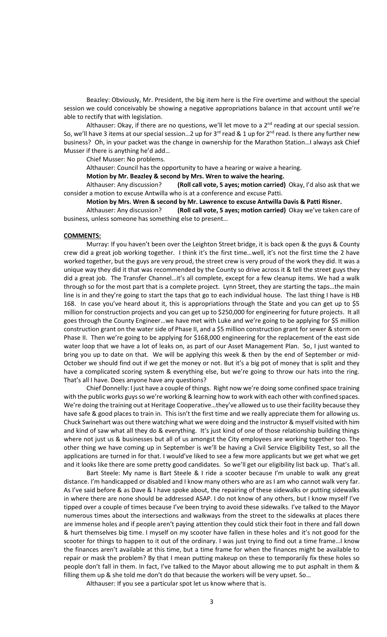Beazley: Obviously, Mr. President, the big item here is the Fire overtime and without the special session we could conceivably be showing a negative appropriations balance in that account until we're able to rectify that with legislation.

Althauser: Okay, if there are no questions, we'll let move to a  $2<sup>nd</sup>$  reading at our special session. So, we'll have 3 items at our special session...2 up for  $3^{rd}$  read & 1 up for  $2^{nd}$  read. Is there any further new business? Oh, in your packet was the change in ownership for the Marathon Station…I always ask Chief Musser if there is anything he'd add…

Chief Musser: No problems.

Althauser: Council has the opportunity to have a hearing or waive a hearing.

**Motion by Mr. Beazley & second by Mrs. Wren to waive the hearing.**

Althauser: Any discussion? **(Roll call vote, 5 ayes; motion carried)** Okay, I'd also ask that we consider a motion to excuse Antwilla who is at a conference and excuse Patti.

**Motion by Mrs. Wren & second by Mr. Lawrence to excuse Antwilla Davis & Patti Risner.**

Althauser: Any discussion? **(Roll call vote, 5 ayes; motion carried)** Okay we've taken care of business, unless someone has something else to present…

### **COMMENTS:**

Murray: If you haven't been over the Leighton Street bridge, it is back open & the guys & County crew did a great job working together. I think it's the first time…well, it's not the first time the 2 have worked together, but the guys are very proud, the street crew is very proud of the work they did. It was a unique way they did it that was recommended by the County so drive across it & tell the street guys they did a great job. The Transfer Channel…it's all complete, except for a few cleanup items. We had a walk through so for the most part that is a complete project. Lynn Street, they are starting the taps…the main line is in and they're going to start the taps that go to each individual house. The last thing I have is HB 168. In case you've heard about it, this is appropriations through the State and you can get up to \$5 million for construction projects and you can get up to \$250,000 for engineering for future projects. It all goes through the County Engineer…we have met with Luke and we're going to be applying for \$5 million construction grant on the water side of Phase II, and a \$5 million construction grant for sewer & storm on Phase II. Then we're going to be applying for \$168,000 engineering for the replacement of the east side water loop that we have a lot of leaks on, as part of our Asset Management Plan. So, I just wanted to bring you up to date on that. We will be applying this week & then by the end of September or mid-October we should find out if we get the money or not. But it's a big pot of money that is split and they have a complicated scoring system & everything else, but we're going to throw our hats into the ring. That's all I have. Does anyone have any questions?

Chief Donnelly: I just have a couple of things. Right now we're doing some confined space training with the public works guys so we're working & learning how to work with each other with confined spaces. We're doing the training out at Heritage Cooperative…they've allowed us to use their facility because they have safe & good places to train in. This isn't the first time and we really appreciate them for allowing us. Chuck Swinehart was out there watching what we were doing and the instructor & myself visited with him and kind of saw what all they do & everything. It's just kind of one of those relationship building things where not just us & businesses but all of us amongst the City employees are working together too. The other thing we have coming up in September is we'll be having a Civil Service Eligibility Test, so all the applications are turned in for that. I would've liked to see a few more applicants but we get what we get and it looks like there are some pretty good candidates. So we'll get our eligibility list back up. That's all.

Bart Steele: My name is Bart Steele & I ride a scooter because I'm unable to walk any great distance. I'm handicapped or disabled and I know many others who are as I am who cannot walk very far. As I've said before & as Dave & I have spoke about, the repairing of these sidewalks or putting sidewalks in where there are none should be addressed ASAP. I do not know of any others, but I know myself I've tipped over a couple of times because I've been trying to avoid these sidewalks. I've talked to the Mayor numerous times about the intersections and walkways from the street to the sidewalks at places there are immense holes and if people aren't paying attention they could stick their foot in there and fall down & hurt themselves big time. I myself on my scooter have fallen in these holes and it's not good for the scooter for things to happen to it out of the ordinary. I was just trying to find out a time frame…I know the finances aren't available at this time, but a time frame for when the finances might be available to repair or mask the problem? By that I mean putting makeup on these to temporarily fix these holes so people don't fall in them. In fact, I've talked to the Mayor about allowing me to put asphalt in them & filling them up & she told me don't do that because the workers will be very upset. So...

Althauser: If you see a particular spot let us know where that is.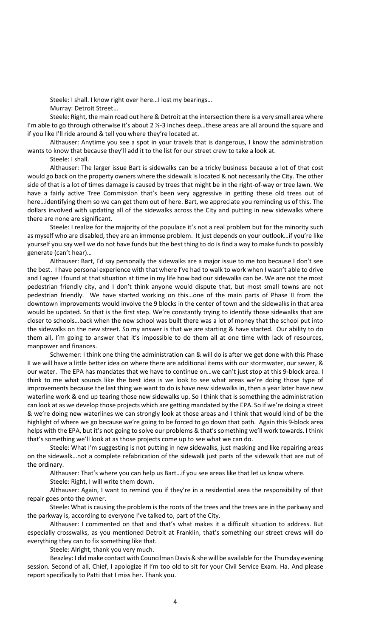Steele: I shall. I know right over here…I lost my bearings…

Murray: Detroit Street…

Steele: Right, the main road out here & Detroit at the intersection there is a very small area where I'm able to go through otherwise it's about 2  $\frac{1}{2}$ -3 inches deep...these areas are all around the square and if you like I'll ride around & tell you where they're located at.

Althauser: Anytime you see a spot in your travels that is dangerous, I know the administration wants to know that because they'll add it to the list for our street crew to take a look at.

Steele: I shall.

Althauser: The larger issue Bart is sidewalks can be a tricky business because a lot of that cost would go back on the property owners where the sidewalk is located & not necessarily the City. The other side of that is a lot of times damage is caused by trees that might be in the right-of-way or tree lawn. We have a fairly active Tree Commission that's been very aggressive in getting these old trees out of here…identifying them so we can get them out of here. Bart, we appreciate you reminding us of this. The dollars involved with updating all of the sidewalks across the City and putting in new sidewalks where there are none are significant.

Steele: I realize for the majority of the populace it's not a real problem but for the minority such as myself who are disabled, they are an immense problem. It just depends on your outlook…if you're like yourself you say well we do not have funds but the best thing to do is find a way to make funds to possibly generate (can't hear)…

Althauser: Bart, I'd say personally the sidewalks are a major issue to me too because I don't see the best. I have personal experience with that where I've had to walk to work when I wasn't able to drive and I agree I found at that situation at time in my life how bad our sidewalks can be. We are not the most pedestrian friendly city, and I don't think anyone would dispute that, but most small towns are not pedestrian friendly. We have started working on this…one of the main parts of Phase II from the downtown improvements would involve the 9 blocks in the center of town and the sidewalks in that area would be updated. So that is the first step. We're constantly trying to identify those sidewalks that are closer to schools…back when the new school was built there was a lot of money that the school put into the sidewalks on the new street. So my answer is that we are starting & have started. Our ability to do them all, I'm going to answer that it's impossible to do them all at one time with lack of resources, manpower and finances.

Schwemer: I think one thing the administration can & will do is after we get done with this Phase II we will have a little better idea on where there are additional items with our stormwater, our sewer, & our water. The EPA has mandates that we have to continue on…we can't just stop at this 9-block area. I think to me what sounds like the best idea is we look to see what areas we're doing those type of improvements because the last thing we want to do is have new sidewalks in, then a year later have new waterline work & end up tearing those new sidewalks up. So I think that is something the administration can look at as we develop those projects which are getting mandated by the EPA. So if we're doing a street & we're doing new waterlines we can strongly look at those areas and I think that would kind of be the highlight of where we go because we're going to be forced to go down that path. Again this 9-block area helps with the EPA, but it's not going to solve our problems & that's something we'll work towards. I think that's something we'll look at as those projects come up to see what we can do.

Steele: What I'm suggesting is not putting in new sidewalks, just masking and like repairing areas on the sidewalk…not a complete refabrication of the sidewalk just parts of the sidewalk that are out of the ordinary.

Althauser: That's where you can help us Bart…if you see areas like that let us know where.

Steele: Right, I will write them down.

Althauser: Again, I want to remind you if they're in a residential area the responsibility of that repair goes onto the owner.

Steele: What is causing the problem is the roots of the trees and the trees are in the parkway and the parkway is, according to everyone I've talked to, part of the City.

Althauser: I commented on that and that's what makes it a difficult situation to address. But especially crosswalks, as you mentioned Detroit at Franklin, that's something our street crews will do everything they can to fix something like that.

Steele: Alright, thank you very much.

Beazley: I did make contact with Councilman Davis & she will be available for the Thursday evening session. Second of all, Chief, I apologize if I'm too old to sit for your Civil Service Exam. Ha. And please report specifically to Patti that I miss her. Thank you.